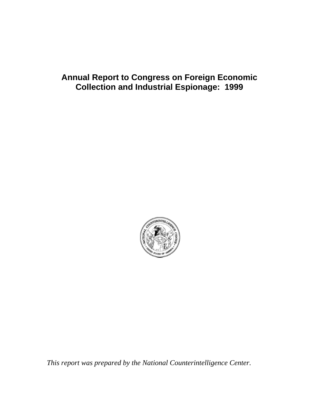# <span id="page-0-0"></span>**Annual Report to Congress on Foreign Economic Collection and Industrial Espionage: 1999**



*This report was prepared by the National Counterintelligence Center.*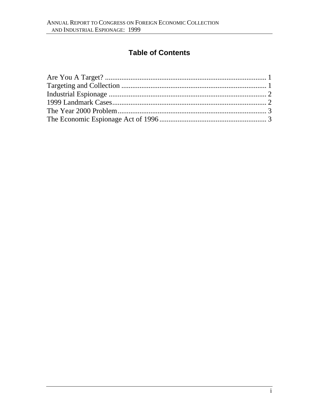# **Table of Contents**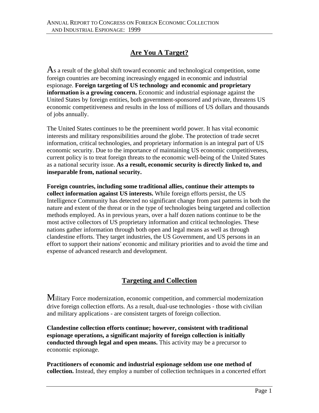## **[Are You A Target?](#page-0-0)**

<span id="page-2-0"></span>As a result of the global shift toward economic and technological competition, some foreign countries are becoming increasingly engaged in economic and industrial espionage. **Foreign targeting of US technology and economic and proprietary information is a growing concern.** Economic and industrial espionage against the United States by foreign entities, both government-sponsored and private, threatens US economic competitiveness and results in the loss of millions of US dollars and thousands of jobs annually.

The United States continues to be the preeminent world power. It has vital economic interests and military responsibilities around the globe. The protection of trade secret information, critical technologies, and proprietary information is an integral part of US economic security. Due to the importance of maintaining US economic competitiveness, current policy is to treat foreign threats to the economic well-being of the United States as a national security issue. **As a result, economic security is directly linked to, and inseparable from, national security.**

**Foreign countries, including some traditional allies, continue their attempts to collect information against US interests.** While foreign efforts persist, the US Intelligence Community has detected no significant change from past patterns in both the nature and extent of the threat or in the type of technologies being targeted and collection methods employed. As in previous years, over a half dozen nations continue to be the most active collectors of US proprietary information and critical technologies. These nations gather information through both open and legal means as well as through clandestine efforts. They target industries, the US Government, and US persons in an effort to support their nations' economic and military priorities and to avoid the time and expense of advanced research and development.

### **[Targeting and Collection](#page-0-0)**

Military Force modernization, economic competition, and commercial modernization drive foreign collection efforts. As a result, dual-use technologies - those with civilian and military applications - are consistent targets of foreign collection.

**Clandestine collection efforts continue; however, consistent with traditional espionage operations, a significant majority of foreign collection is initially conducted through legal and open means.** This activity may be a precursor to economic espionage.

**Practitioners of economic and industrial espionage seldom use one method of collection.** Instead, they employ a number of collection techniques in a concerted effort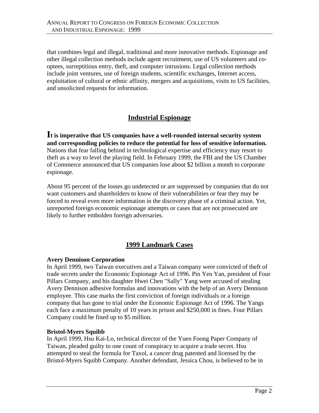<span id="page-3-0"></span>that combines legal and illegal, traditional and more innovative methods. Espionage and other illegal collection methods include agent recruitment, use of US volunteers and cooptees, surreptitious entry, theft, and computer intrusions. Legal collection methods include joint ventures, use of foreign students, scientific exchanges, Internet access, exploitation of cultural or ethnic affinity, mergers and acquisitions, visits to US facilities, and unsolicited requests for information.

# **[Industrial Espionage](#page-0-0)**

**It is imperative that US companies have a well-rounded internal security system and corresponding policies to reduce the potential for loss of sensitive information.** Nations that fear falling behind in technological expertise and efficiency may resort to theft as a way to level the playing field. In February 1999, the FBI and the US Chamber of Commerce announced that US companies lose about \$2 billion a month to corporate espionage.

About 95 percent of the losses go undetected or are suppressed by companies that do not want customers and shareholders to know of their vulnerabilities or fear they may be forced to reveal even more information in the discovery phase of a criminal action. Yet, unreported foreign economic espionage attempts or cases that are not prosecuted are likely to further embolden foreign adversaries.

### **[1999 Landmark Cases](#page-0-0)**

#### **Avery Dennison Corporation**

In April 1999, two Taiwan executives and a Taiwan company were convicted of theft of trade secrets under the Economic Espionage Act of 1996. Pin Yen Yan, president of Four Pillars Company, and his daughter Hwei Chen "Sally" Yang were accused of stealing Avery Dennison adhesive formulas and innovations with the help of an Avery Dennison employee. This case marks the first conviction of foreign individuals or a foreign company that has gone to trial under the Economic Espionage Act of 1996. The Yangs each face a maximum penalty of 10 years in prison and \$250,000 in fines. Four Pillars Company could be fined up to \$5 million.

#### **Bristol-Myers Squibb**

In April 1999, Hsu Kai-Lo, technical director of the Yuen Foong Paper Company of Taiwan, pleaded guilty to one count of conspiracy to acquire a trade secret. Hsu attempted to steal the formula for Taxol, a cancer drug patented and licensed by the Bristol-Myers Squibb Company. Another defendant, Jessica Chou, is believed to be in